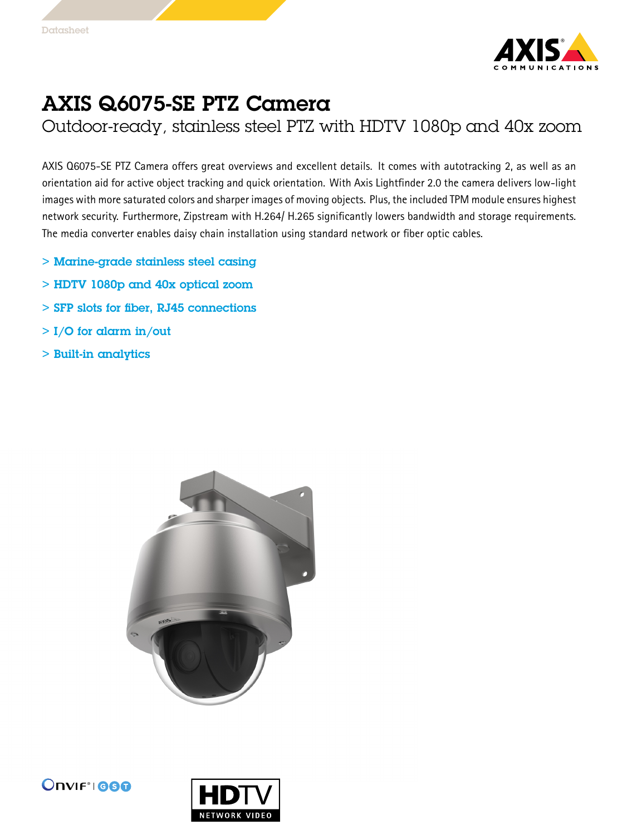

## AXIS Q6075-SE PTZ Camera

Outdoor-ready, stainless steel PTZ with HDTV 1080p and 40x zoom

AXIS Q6075-SE PTZ Camera offers great overviews and excellent details. It comes with autotracking 2, as well as an orientation aid for active object tracking and quick orientation. With Axis Lightfinder 2.0 the camera delivers low-light images with more saturated colors and sharper images of moving objects. Plus, the included TPM module ensures highest network security. Furthermore, Zipstream with H.264/ H.265 significantly lowers bandwidth and storage requirements. The media converter enables daisy chain installation using standard network or fiber optic cables.

- > Marine-grade stainless steel casing
- > HDTV 1080p and 40x optical zoom
- > SFP slots for fiber, RJ45 connections
- $>$  I/O for alarm in/out
- > Built-in analytics





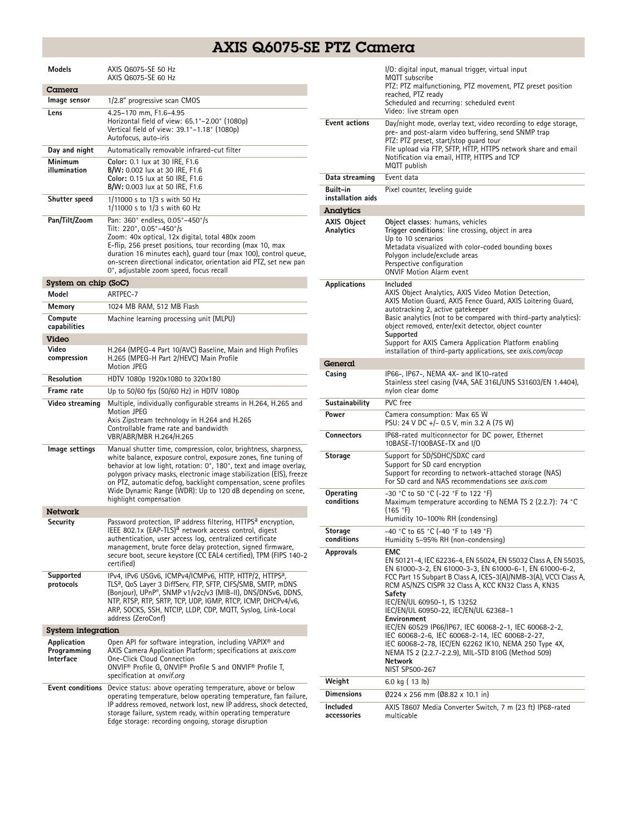## AXIS Q6075-SE PTZ Camera

| Models                                  | AXIS Q6075-SE 50 Hz<br>AXIS Q6075-SE 60 Hz                                                                                                                                                                                                                                                                                                                                                                                                 |
|-----------------------------------------|--------------------------------------------------------------------------------------------------------------------------------------------------------------------------------------------------------------------------------------------------------------------------------------------------------------------------------------------------------------------------------------------------------------------------------------------|
| Camera                                  |                                                                                                                                                                                                                                                                                                                                                                                                                                            |
| Image sensor                            | 1/2.8" progressive scan CMOS                                                                                                                                                                                                                                                                                                                                                                                                               |
| Lens                                    | 4.25-170 mm, F1.6-4.95<br>Horizontal field of view: 65.1°-2.00° (1080p)<br>Vertical field of view: 39.1°–1.18° (1080p)<br>Autofocus, auto-iris                                                                                                                                                                                                                                                                                             |
| Day and night                           | Automatically removable infrared-cut filter                                                                                                                                                                                                                                                                                                                                                                                                |
| Minimum<br>illumination                 | Color: 0.1 lux at 30 IRE, F1.6<br>B/W: 0.002 lux at 30 IRE, F1.6<br>Color: 0.15 lux at 50 IRE, F1.6<br>B/W: 0.003 lux at 50 IRE, F1.6                                                                                                                                                                                                                                                                                                      |
| Shutter speed                           | 1/11000 s to 1/3 s with 50 Hz<br>1/11000 s to 1/3 s with 60 Hz                                                                                                                                                                                                                                                                                                                                                                             |
| Pan/Tilt/Zoom                           | Pan: 360° endless, 0.05°-450°/s<br>Tilt: 220°, 0.05°-450°/s<br>Zoom: 40x optical, 12x digital, total 480x zoom<br>E-flip, 256 preset positions, tour recording (max 10, max<br>duration 16 minutes each), guard tour (max 100), control queue,<br>on-screen directional indicator, orientation aid PTZ, set new pan<br>0°, adjustable zoom speed, focus recall                                                                             |
| System on chip (SoC)                    |                                                                                                                                                                                                                                                                                                                                                                                                                                            |
| Model                                   | ARTPEC-7                                                                                                                                                                                                                                                                                                                                                                                                                                   |
| Memory                                  | 1024 MB RAM, 512 MB Flash                                                                                                                                                                                                                                                                                                                                                                                                                  |
| Compute<br>capabilities                 | Machine learning processing unit (MLPU)                                                                                                                                                                                                                                                                                                                                                                                                    |
| Video                                   |                                                                                                                                                                                                                                                                                                                                                                                                                                            |
| Video<br>compression                    | H.264 (MPEG-4 Part 10/AVC) Baseline, Main and High Profiles<br>H.265 (MPEG-H Part 2/HEVC) Main Profile<br>Motion JPEG                                                                                                                                                                                                                                                                                                                      |
| Resolution                              | HDTV 1080p 1920x1080 to 320x180                                                                                                                                                                                                                                                                                                                                                                                                            |
| Frame rate                              | Up to 50/60 fps (50/60 Hz) in HDTV 1080p                                                                                                                                                                                                                                                                                                                                                                                                   |
| Video streaming                         | Multiple, individually configurable streams in H.264, H.265 and<br>Motion JPEG<br>Axis Zipstream technology in H.264 and H.265<br>Controllable frame rate and bandwidth<br>VBR/ABR/MBR H.264/H.265                                                                                                                                                                                                                                         |
| lmage settings                          | Manual shutter time, compression, color, brightness, sharpness,<br>white balance, exposure control, exposure zones, fine tuning of<br>behavior at low light, rotation: 0°, 180°, text and image overlay,<br>polygon privacy masks, electronic image stabilization (EIS), freeze<br>on PTZ, automatic defog, backlight compensation, scene profiles<br>Wide Dynamic Range (WDR): Up to 120 dB depending on scene,<br>highlight compensation |
| Network                                 |                                                                                                                                                                                                                                                                                                                                                                                                                                            |
| Security                                | Password protection, IP address filtering, HTTPS <sup>a</sup> encryption,<br>IEEE 802.1x (EAP-TLS) <sup>a</sup> network access control, digest<br>authentication, user access log, centralized certificate<br>management, brute force delay protection, signed firmware,<br>secure boot, secure keystore (CC EAL4 certified), TPM (FIPS 140-2<br>certified)                                                                                |
| Supported<br>protocols                  | IPv4, IPv6 USGv6, ICMPv4/ICMPv6, HTTP, HTTP/2, HTTPS <sup>a</sup> ,<br>TLS <sup>a</sup> , QoS Layer 3 DiffServ, FTP, SFTP, CIFS/SMB, SMTP, mDNS<br>(Bonjour), UPnP®, SNMP v1/v2c/v3 (MIB-II), DNS/DNSv6, DDNS,<br>NTP, RTSP, RTP, SRTP, TCP, UDP, IGMP, RTCP, ICMP, DHCPv4/v6,<br>ARP, SOCKS, SSH, NTCIP, LLDP, CDP, MQTT, Syslog, Link-Local<br>address (ZeroConf)                                                                        |
| <b>System integration</b>               |                                                                                                                                                                                                                                                                                                                                                                                                                                            |
| Application<br>Programming<br>Interface | Open API for software integration, including VAPIX® and<br>AXIS Camera Application Platform; specifications at axis.com<br><b>One-Click Cloud Connection</b><br>ONVIF <sup>®</sup> Profile G, ONVIF® Profile S and ONVIF® Profile T,<br>specification at onvif.org                                                                                                                                                                         |
| Event conditions                        | Device status: above operating temperature, above or below<br>operating temperature, below operating temperature, fan failure,<br>IP address removed, network lost, new IP address, shock detected,<br>storage failure, system ready, within operating temperature<br>Edge storage: recording ongoing, storage disruption                                                                                                                  |

|                                 | I/O: digital input, manual trigger, virtual input<br>MQTT subscribe<br>PTZ: PTZ malfunctioning, PTZ movement, PTZ preset position<br>reached, PTZ readv<br>Scheduled and recurring: scheduled event<br>Video: live stream open                                                                                                                                                                                                            |
|---------------------------------|-------------------------------------------------------------------------------------------------------------------------------------------------------------------------------------------------------------------------------------------------------------------------------------------------------------------------------------------------------------------------------------------------------------------------------------------|
| <b>Event actions</b>            | Day/night mode, overlay text, video recording to edge storage,<br>pre- and post-alarm video buffering, send SNMP trap<br>PTZ: PTZ preset, start/stop quard tour<br>File upload via FTP, SFTP, HTTP, HTTPS network share and email<br>Notification via email, HTTP, HTTPS and TCP<br>MQTT publish                                                                                                                                          |
| Data streaming                  | Event data                                                                                                                                                                                                                                                                                                                                                                                                                                |
| Built-in<br>installation aids   | Pixel counter, leveling quide                                                                                                                                                                                                                                                                                                                                                                                                             |
| <b>Analytics</b>                |                                                                                                                                                                                                                                                                                                                                                                                                                                           |
| <b>AXIS Object</b><br>Analytics | Object classes: humans, vehicles<br>Trigger conditions: line crossing, object in area<br>Up to 10 scenarios<br>Metadata visualized with color-coded bounding boxes<br>Polygon include/exclude areas<br>Perspective configuration<br><b>ONVIF Motion Alarm event</b>                                                                                                                                                                       |
| Applications                    | Included<br>AXIS Object Analytics, AXIS Video Motion Detection,<br>AXIS Motion Guard, AXIS Fence Guard, AXIS Loitering Guard,<br>autotracking 2, active gatekeeper<br>Basic analytics (not to be compared with third-party analytics):<br>object removed, enter/exit detector, object counter<br>Supported<br>Support for AXIS Camera Application Platform enabling<br>installation of third-party applications, see <i>axis.com/acap</i> |
| General                         |                                                                                                                                                                                                                                                                                                                                                                                                                                           |
| Casing                          | IP66-, IP67-, NEMA 4X- and IK10-rated<br>Stainless steel casing (V4A, SAE 316L/UNS S31603/EN 1.4404),<br>nylon clear dome                                                                                                                                                                                                                                                                                                                 |
| Sustainability                  | PVC free                                                                                                                                                                                                                                                                                                                                                                                                                                  |
| Power                           | Camera consumption: Max 65 W<br>PSU: 24 V DC +/- 0.5 V, min 3.2 A (75 W)                                                                                                                                                                                                                                                                                                                                                                  |
| <b>Connectors</b>               | IP68-rated multiconnector for DC power, Ethernet<br>10BASE-T/100BASE-TX and I/O                                                                                                                                                                                                                                                                                                                                                           |
| Storage                         | Support for SD/SDHC/SDXC card<br>Support for SD card encryption<br>Support for recording to network-attached storage (NAS)<br>For SD card and NAS recommendations see axis.com                                                                                                                                                                                                                                                            |
| Operating<br>conditions         | -30 °C to 50 °C (-22 °F to 122 °F)<br>Maximum temperature according to NEMA TS 2 (2.2.7): 74 °C<br>(165 °F)<br>Humidity 10-100% RH (condensing)                                                                                                                                                                                                                                                                                           |
| Storage<br>conditions           | -40 °C to 65 °C (-40 °F to 149 °F)<br>Humidity 5–95% RH (non-condensing)                                                                                                                                                                                                                                                                                                                                                                  |
| Approvals                       | <b>EMC</b><br>EN 50121-4, IEC 62236-4, EN 55024, EN 55032 Class A, EN 55035,<br>EN 61000-3-2, EN 61000-3-3, EN 61000-6-1, EN 61000-6-2,<br>FCC Part 15 Subpart B Class A, ICES-3(A)/NMB-3(A), VCCI Class A,<br>RCM AS/NZS CISPR 32 Class A, KCC KN32 Class A, KN35<br>Safety<br>IEC/EN/UL 60950-1, IS 13252                                                                                                                               |
|                                 | IEC/EN/UL 60950-22, IEC/EN/UL 62368-1<br>Environment<br>IEC/EN 60529 IP66/IP67, IEC 60068-2-1, IEC 60068-2-2,<br>IEC 60068-2-6, IEC 60068-2-14, IEC 60068-2-27,<br>IEC 60068-2-78, IEC/EN 62262 IK10, NEMA 250 Type 4X,<br>NEMA TS 2 (2.2.7-2.2.9), MIL-STD 810G (Method 509)<br>Network<br>NIST SP500-267                                                                                                                                |
| Weight                          | 6.0 kg (13 lb)                                                                                                                                                                                                                                                                                                                                                                                                                            |
| <b>Dimensions</b>               | Ø224 x 256 mm (Ø8.82 x 10.1 in)                                                                                                                                                                                                                                                                                                                                                                                                           |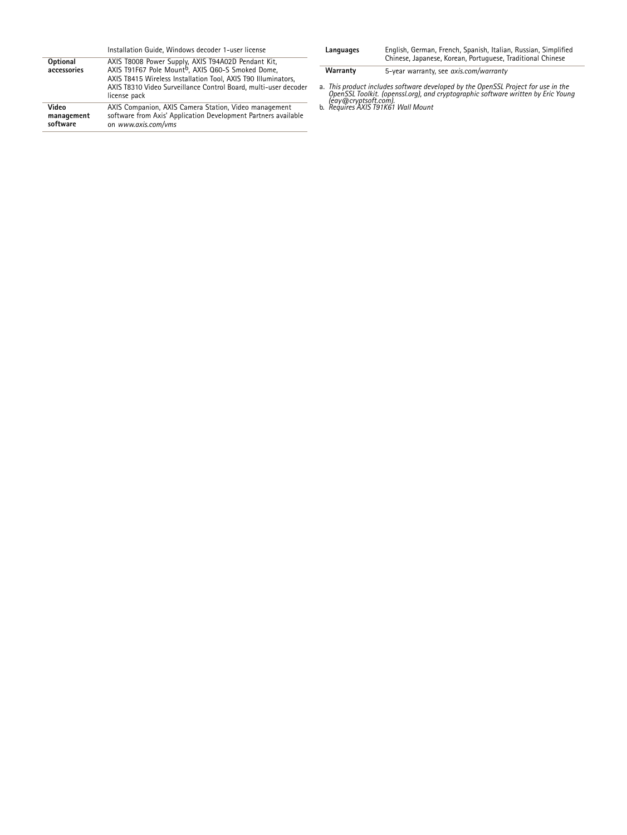|                                 | Installation Guide, Windows decoder 1-user license                                                                                                                                                                                                                      |
|---------------------------------|-------------------------------------------------------------------------------------------------------------------------------------------------------------------------------------------------------------------------------------------------------------------------|
| Optional<br>accessories         | AXIS T8008 Power Supply, AXIS T94A02D Pendant Kit,<br>AXIS T91F67 Pole Mount <sup>b</sup> , AXIS Q60-S Smoked Dome,<br>AXIS T8415 Wireless Installation Tool, AXIS T90 Illuminators,<br>AXIS T8310 Video Surveillance Control Board, multi-user decoder<br>license pack |
| Video<br>management<br>software | AXIS Companion, AXIS Camera Station, Video management<br>software from Axis' Application Development Partners available<br>on www.axis.com/yms                                                                                                                          |

| Languages | English, German, French, Spanish, Italian, Russian, Simplified<br>Chinese, Japanese, Korean, Portuguese, Traditional Chinese |
|-----------|------------------------------------------------------------------------------------------------------------------------------|
| Warranty  | 5-year warranty, see axis.com/warranty                                                                                       |

a. This product includes software developed by the OpenSSL Project for use in the<br>OpenSSL Toolkit. (openssl.org), and cryptographic software written by Eric Young<br>http://eav@cryptsoft.com.<br>b. Requires AXIS T91K61 Wall Moun